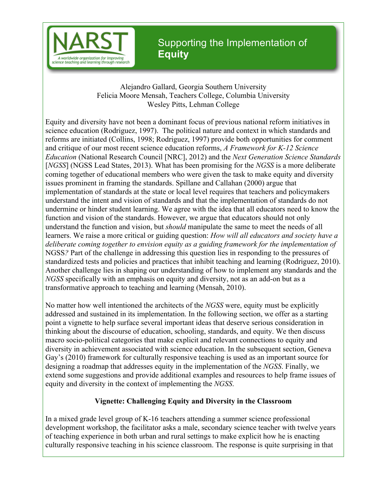

# Supporting the Implementation of **Equity**

Alejandro Gallard, Georgia Southern University Felicia Moore Mensah, Teachers College, Columbia University Wesley Pitts, Lehman College

 [*NGSS*] (NGSS Lead States, 2013). What has been promising for the *NGSS* is a more deliberate understand the function and vision, but *should* manipulate the same to meet the needs of all NGSS*?* Part of the challenge in addressing this question lies in responding to the pressures of standardized tests and policies and practices that inhibit teaching and learning (Rodriguez, 2010). Equity and diversity have not been a dominant focus of previous national reform initiatives in science education (Rodriguez, 1997). The political nature and context in which standards and reforms are initiated (Collins, 1998; Rodriguez, 1997) provide both opportunities for comment and critique of our most recent science education reforms, *A Framework for K-12 Science Education* (National Research Council [NRC], 2012) and the *Next Generation Science Standards*  coming together of educational members who were given the task to make equity and diversity issues prominent in framing the standards. Spillane and Callahan (2000) argue that implementation of standards at the state or local level requires that teachers and policymakers understand the intent and vision of standards and that the implementation of standards do not undermine or hinder student learning. We agree with the idea that all educators need to know the function and vision of the standards. However, we argue that educators should not only learners. We raise a more critical or guiding question: *How will all educators and society have a deliberate coming together to envision equity as a guiding framework for the implementation of*  Another challenge lies in shaping our understanding of how to implement any standards and the *NGSS* specifically with an emphasis on equity and diversity, not as an add-on but as a transformative approach to teaching and learning (Mensah, 2010).

 No matter how well intentioned the architects of the *NGSS* were, equity must be explicitly extend some suggestions and provide additional examples and resources to help frame issues of equity and diversity in the context of implementing the *NGSS*. addressed and sustained in its implementation. In the following section, we offer as a starting point a vignette to help surface several important ideas that deserve serious consideration in thinking about the discourse of education, schooling, standards, and equity. We then discuss macro socio-political categories that make explicit and relevant connections to equity and diversity in achievement associated with science education. In the subsequent section, Geneva Gay's (2010) framework for culturally responsive teaching is used as an important source for designing a roadmap that addresses equity in the implementation of the *NGSS*. Finally, we

# **Vignette: Challenging Equity and Diversity in the Classroom**

In a mixed grade level group of K-16 teachers attending a summer science professional development workshop, the facilitator asks a male, secondary science teacher with twelve years of teaching experience in both urban and rural settings to make explicit how he is enacting culturally responsive teaching in his science classroom. The response is quite surprising in that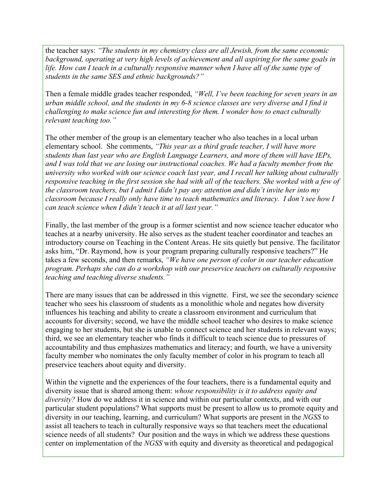*students in the same SES and ethnic backgrounds?"* the teacher says: *"The students in my chemistry class are all Jewish, from the same economic background, operating at very high levels of achievement and all aspiring for the same goals in*  life. How can I teach in a culturally responsive manner when I have all of the same type of

 *relevant teaching too."* Then a female middle grades teacher responded, *"Well, I've been teaching for seven years in an urban middle school, and the students in my 6-8 science classes are very diverse and I find it challenging to make science fun and interesting for them. I wonder how to enact culturally* 

 *can teach science when I didn't teach it at all last year."*  The other member of the group is an elementary teacher who also teaches in a local urban elementary school. She comments, *"This year as a third grade teacher, I will have more students than last year who are English Language Learners, and more of them will have IEPs, and I was told that we are losing our instructional coaches. We had a faculty member from the university who worked with our science coach last year, and I recall her talking about culturally responsive teaching in the first session she had with all of the teachers. She worked with a few of the classroom teachers, but I admit I didn't pay any attention and didn't invite her into my classroom because I really only have time to teach mathematics and literacy. I don't see how I* 

Finally, the last member of the group is a former scientist and now science teacher educator who teaches at a nearby university. He also serves as the student teacher coordinator and teaches an introductory course on Teaching in the Content Areas. He sits quietly but pensive. The facilitator asks him, "Dr. Raymond, how is your program preparing culturally responsive teachers?" He takes a few seconds, and then remarks, *"We have one person of color in our teacher education program. Perhaps she can do a workshop with our preservice teachers on culturally responsive teaching and teaching diverse students."* 

There are many issues that can be addressed in this vignette. First, we see the secondary science teacher who sees his classroom of students as a monolithic whole and negates how diversity influences his teaching and ability to create a classroom environment and curriculum that accounts for diversity; second, we have the middle school teacher who desires to make science engaging to her students, but she is unable to connect science and her students in relevant ways; third, we see an elementary teacher who finds it difficult to teach science due to pressures of accountability and thus emphasizes mathematics and literacy; and fourth, we have a university faculty member who nominates the only faculty member of color in his program to teach all preservice teachers about equity and diversity.

 *diversity?* How do we address it in science and within our particular contexts, and with our diversity in our teaching, learning, and curriculum? What supports are present in the *NGSS* to assist all teachers to teach in culturally responsive ways so that teachers meet the educational center on implementation of the *NGSS* with equity and diversity as theoretical and pedagogical Within the vignette and the experiences of the four teachers, there is a fundamental equity and diversity issue that is shared among them: *whose responsibility is it to address equity and*  particular student populations? What supports must be present to allow us to promote equity and science needs of all students? Our position and the ways in which we address these questions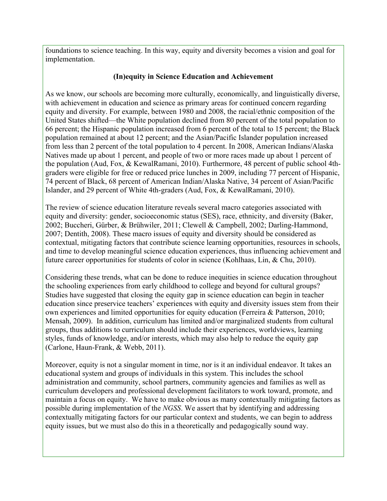foundations to science teaching. In this way, equity and diversity becomes a vision and goal for implementation.

## **(In)equity in Science Education and Achievement**

As we know, our schools are becoming more culturally, economically, and linguistically diverse, with achievement in education and science as primary areas for continued concern regarding equity and diversity. For example, between 1980 and 2008, the racial/ethnic composition of the United States shifted—the White population declined from 80 percent of the total population to 66 percent; the Hispanic population increased from 6 percent of the total to 15 percent; the Black population remained at about 12 percent; and the Asian/Pacific Islander population increased from less than 2 percent of the total population to 4 percent. In 2008, American Indians/Alaska Natives made up about 1 percent, and people of two or more races made up about 1 percent of the population (Aud, Fox, & KewalRamani, 2010). Furthermore, 48 percent of public school 4thgraders were eligible for free or reduced price lunches in 2009, including 77 percent of Hispanic, 74 percent of Black, 68 percent of American Indian/Alaska Native, 34 percent of Asian/Pacific Islander, and 29 percent of White 4th-graders (Aud, Fox, & KewalRamani, 2010).

The review of science education literature reveals several macro categories associated with equity and diversity: gender, socioeconomic status (SES), race, ethnicity, and diversity (Baker, 2002; Buccheri, Gürber, & Brühwiler, 2011; Clewell & Campbell, 2002; Darling-Hammond, 2007; Dentith, 2008). These macro issues of equity and diversity should be considered as contextual, mitigating factors that contribute science learning opportunities, resources in schools, and time to develop meaningful science education experiences, thus influencing achievement and future career opportunities for students of color in science (Kohlhaas, Lin, & Chu, 2010).

 Mensah, 2009). In addition, curriculum has limited and/or marginalized students from cultural Considering these trends, what can be done to reduce inequities in science education throughout the schooling experiences from early childhood to college and beyond for cultural groups? Studies have suggested that closing the equity gap in science education can begin in teacher education since preservice teachers' experiences with equity and diversity issues stem from their own experiences and limited opportunities for equity education (Ferreira & Patterson, 2010; groups, thus additions to curriculum should include their experiences, worldviews, learning styles, funds of knowledge, and/or interests, which may also help to reduce the equity gap (Carlone, Haun-Frank, & Webb, 2011).

Moreover, equity is not a singular moment in time, nor is it an individual endeavor. It takes an educational system and groups of individuals in this system. This includes the school administration and community, school partners, community agencies and families as well as curriculum developers and professional development facilitators to work toward, promote, and maintain a focus on equity. We have to make obvious as many contextually mitigating factors as possible during implementation of the *NGSS*. We assert that by identifying and addressing contextually mitigating factors for our particular context and students, we can begin to address equity issues, but we must also do this in a theoretically and pedagogically sound way.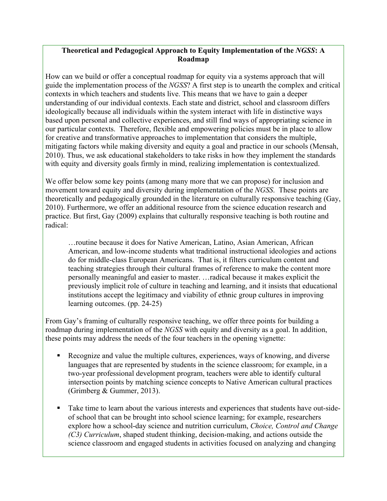## **Theoretical and Pedagogical Approach to Equity Implementation of the** *NGSS***: A Roadmap**

How can we build or offer a conceptual roadmap for equity via a systems approach that will guide the implementation process of the *NGSS*? A first step is to unearth the complex and critical contexts in which teachers and students live. This means that we have to gain a deeper understanding of our individual contexts. Each state and district, school and classroom differs ideologically because all individuals within the system interact with life in distinctive ways based upon personal and collective experiences, and still find ways of appropriating science in our particular contexts. Therefore, flexible and empowering policies must be in place to allow for creative and transformative approaches to implementation that considers the multiple, mitigating factors while making diversity and equity a goal and practice in our schools (Mensah, 2010). Thus, we ask educational stakeholders to take risks in how they implement the standards with equity and diversity goals firmly in mind, realizing implementation is contextualized.

We offer below some key points (among many more that we can propose) for inclusion and movement toward equity and diversity during implementation of the *NGSS*. These points are theoretically and pedagogically grounded in the literature on culturally responsive teaching (Gay, 2010). Furthermore, we offer an additional resource from the science education research and practice. But first, Gay (2009) explains that culturally responsive teaching is both routine and radical:

…routine because it does for Native American, Latino, Asian American, African American, and low-income students what traditional instructional ideologies and actions do for middle-class European Americans. That is, it filters curriculum content and teaching strategies through their cultural frames of reference to make the content more personally meaningful and easier to master. …radical because it makes explicit the previously implicit role of culture in teaching and learning, and it insists that educational institutions accept the legitimacy and viability of ethnic group cultures in improving learning outcomes. (pp. 24-25)

 roadmap during implementation of the *NGSS* with equity and diversity as a goal. In addition, these points may address the needs of the four teachers in the opening vignette: From Gay's framing of culturally responsive teaching, we offer three points for building a

- Recognize and value the multiple cultures, experiences, ways of knowing, and diverse languages that are represented by students in the science classroom; for example, in a two-year professional development program, teachers were able to identify cultural intersection points by matching science concepts to Native American cultural practices (Grimberg & Gummer, 2013).
- Take time to learn about the various interests and experiences that students have out-sideof school that can be brought into school science learning; for example, researchers explore how a school-day science and nutrition curriculum, *Choice, Control and Change (C3) Curriculum*, shaped student thinking, decision-making, and actions outside the science classroom and engaged students in activities focused on analyzing and changing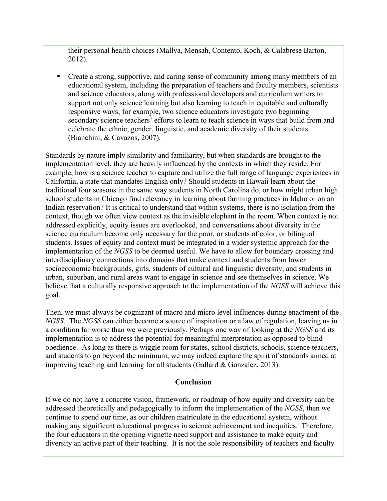their personal health choices (Mallya, Mensah, Contento, Koch, & Calabrese Barton, 2012).

§ Create a strong, supportive, and caring sense of community among many members of an educational system, including the preparation of teachers and faculty members, scientists and science educators, along with professional developers and curriculum writers to support not only science learning but also learning to teach in equitable and culturally responsive ways; for example, two science educators investigate two beginning secondary science teachers' efforts to learn to teach science in ways that build from and celebrate the ethnic, gender, linguistic, and academic diversity of their students (Bianchini, & Cavazos, 2007).

 context, though we often view context as the invisible elephant in the room. When context is not implementation of the *NGSS* to be deemed useful. We have to allow for boundary crossing and believe that a culturally responsive approach to the implementation of the *NGSS* will achieve this Standards by nature imply similarity and familiarity, but when standards are brought to the implementation level, they are heavily influenced by the contexts in which they reside. For example, how is a science teacher to capture and utilize the full range of language experiences in California, a state that mandates English only? Should students in Hawaii learn about the traditional four seasons in the same way students in North Carolina do, or how might urban high school students in Chicago find relevancy in learning about farming practices in Idaho or on an Indian reservation? It is critical to understand that within systems, there is no isolation from the addressed explicitly, equity issues are overlooked, and conversations about diversity in the science curriculum become only necessary for the poor, or students of color, or bilingual students. Issues of equity and context must be integrated in a wider systemic approach for the interdisciplinary connections into domains that make context and students from lower socioeconomic backgrounds, girls, students of cultural and linguistic diversity, and students in urban, suburban, and rural areas want to engage in science and see themselves in science. We goal.

 *NGSS*. The *NGSS* can either become a source of inspiration or a law of regulation, leaving us in a condition far worse than we were previously. Perhaps one way of looking at the *NGSS* and its Then, we must always be cognizant of macro and micro level influences during enactment of the implementation is to address the potential for meaningful interpretation as opposed to blind obedience. As long as there is wiggle room for states, school districts, schools, science teachers, and students to go beyond the minimum, we may indeed capture the spirit of standards aimed at improving teaching and learning for all students (Gallard & Gonzalez, 2013).

#### **Conclusion**

If we do not have a concrete vision, framework, or roadmap of how equity and diversity can be addressed theoretically and pedagogically to inform the implementation of the *NGSS*, then we continue to spend our time, as our children matriculate in the educational system, without making any significant educational progress in science achievement and inequities. Therefore, the four educators in the opening vignette need support and assistance to make equity and diversity an active part of their teaching. It is not the sole responsibility of teachers and faculty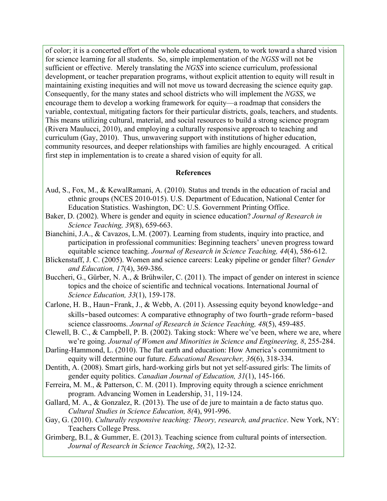for science learning for all students. So, simple implementation of the *NGSS* will not be sufficient or effective. Merely translating the *NGSS* into science curriculum, professional development, or teacher preparation programs, without explicit attention to equity will result in Consequently, for the many states and school districts who will implement the *NGSS*, we first step in implementation is to create a shared vision of equity for all. of color; it is a concerted effort of the whole educational system, to work toward a shared vision maintaining existing inequities and will not move us toward decreasing the science equity gap. encourage them to develop a working framework for equity—a roadmap that considers the variable, contextual, mitigating factors for their particular districts, goals, teachers, and students. This means utilizing cultural, material, and social resources to build a strong science program (Rivera Maulucci, 2010), and employing a culturally responsive approach to teaching and curriculum (Gay, 2010). Thus, unwavering support with institutions of higher education, community resources, and deeper relationships with families are highly encouraged. A critical

#### **References**

- Aud, S., Fox, M., & KewalRamani, A. (2010). Status and trends in the education of racial and ethnic groups (NCES 2010-015). U.S. Department of Education, National Center for Education Statistics. Washington, DC: U.S. Government Printing Office.
- Baker, D. (2002). Where is gender and equity in science education? *Journal of Research in Science Teaching, 39*(8), 659-663.
- Bianchini, J.A., & Cavazos, L.M. (2007). Learning from students, inquiry into practice, and participation in professional communities: Beginning teachers' uneven progress toward equitable science teaching. *Journal of Research in Science Teaching, 44*(4), 586-612.
- Blickenstaff, J. C. (2005). Women and science careers: Leaky pipeline or gender filter? *Gender and Education, 17*(4), 369-386.
- Buccheri, G., Gürber, N. A., & Brühwiler, C. (2011). The impact of gender on interest in science topics and the choice of scientific and technical vocations. International Journal of *Science Education, 33*(1), 159-178.
- Carlone, H. B., Haun-Frank, J., & Webb, A. (2011). Assessing equity beyond knowledge-and skills-based outcomes: A comparative ethnography of two fourth-grade reform-based science classrooms. *Journal of Research in Science Teaching, 48*(5), 459-485.
- Clewell, B. C., & Campbell, P. B. (2002). Taking stock: Where we've been, where we are, where we're going. *Journal of Women and Minorities in Science and Engineering, 8*, 255-284.
- Darling-Hammond, L. (2010). The flat earth and education: How America's commitment to equity will determine our future. *Educational Researcher, 36*(6), 318-334.
- Dentith, A. (2008). Smart girls, hard-working girls but not yet self-assured girls: The limits of gender equity politics. *Canadian Journal of Education, 31*(1), 145-166.
- Ferreira, M. M., & Patterson, C. M. (2011). Improving equity through a science enrichment program. Advancing Women in Leadership, 31, 119-124.
- Gallard, M. A., & Gonzalez, R. (2013). The use of de jure to maintain a de facto status quo. *Cultural Studies in Science Education, 8(*4), 991-996.
- Gay, G. (2010). *Culturally responsive teaching: Theory, research, and practice*. New York, NY: Teachers College Press.
- Grimberg, B.I., & Gummer, E. (2013). Teaching science from cultural points of intersection. *Journal of Research in Science Teaching*, *50*(2), 12-32.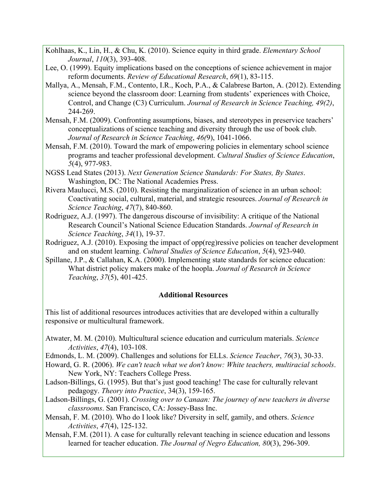- Kohlhaas, K., Lin, H., & Chu, K. (2010). Science equity in third grade. *Elementary School Journal*, *110*(3), 393-408.
- Lee, O. (1999). Equity implications based on the conceptions of science achievement in major reform documents. *Review of Educational Research*, *69*(1), 83-115.
- Mallya, A., Mensah, F.M., Contento, I.R., Koch, P.A., & Calabrese Barton, A. (2012). Extending science beyond the classroom door: Learning from students' experiences with Choice, Control, and Change (C3) Curriculum. *Journal of Research in Science Teaching, 49(2)*, 244-269.
- *Journal of Research in Science Teaching*, *46(*9), 1041-1066. Mensah, F.M. (2009). Confronting assumptions, biases, and stereotypes in preservice teachers' conceptualizations of science teaching and diversity through the use of book club.
- Mensah, F.M. (2010). Toward the mark of empowering policies in elementary school science programs and teacher professional development. *Cultural Studies of Science Education*, *5*(4), 977-983.
- NGSS Lead States (2013). *Next Generation Science Standards: For States, By States*. Washington, DC: The National Academies Press.
- Rivera Maulucci, M.S. (2010). Resisting the marginalization of science in an urban school: Coactivating social, cultural, material, and strategic resources. *Journal of Research in Science Teaching*, *47*(7), 840-860.
- Rodriguez, A.J. (1997). The dangerous discourse of invisibility: A critique of the National Research Council's National Science Education Standards. *Journal of Research in Science Teaching*, *34*(1), 19-37.
- Rodriguez, A.J. (2010). Exposing the impact of opp(reg)ressive policies on teacher development and on student learning. *Cultural Studies of Science Education*, *5*(4), 923-940.
- Spillane, J.P., & Callahan, K.A. (2000). Implementing state standards for science education: What district policy makers make of the hoopla. *Journal of Research in Science Teaching*, *37*(5), 401-425.

#### **Additional Resources**

 This list of additional resources introduces activities that are developed within a culturally responsive or multicultural framework.

- Atwater, M. M. (2010). Multicultural science education and curriculum materials. *Science Activities*, *47*(4), 103-108.
- Edmonds, L. M. (2009). Challenges and solutions for ELLs. *Science Teacher*, *76*(3), 30-33.
- Howard, G. R. (2006). *We can't teach what we don't know: White teachers, multiracial schools*. New York, NY: Teachers College Press.
- Ladson-Billings, G. (1995). But that's just good teaching! The case for culturally relevant pedagogy. *Theory into Practice*, 34(3), 159-165.
- Ladson-Billings, G. (2001). *Crossing over to Canaan: The journey of new teachers in diverse classrooms*. San Francisco, CA: Jossey-Bass Inc.
- Mensah, F. M. (2010). Who do I look like? Diversity in self, gamily, and others. *Science Activities*, *47*(4), 125-132.
- Mensah, F.M. (2011). A case for culturally relevant teaching in science education and lessons learned for teacher education. *The Journal of Negro Education, 80*(3), 296-309.